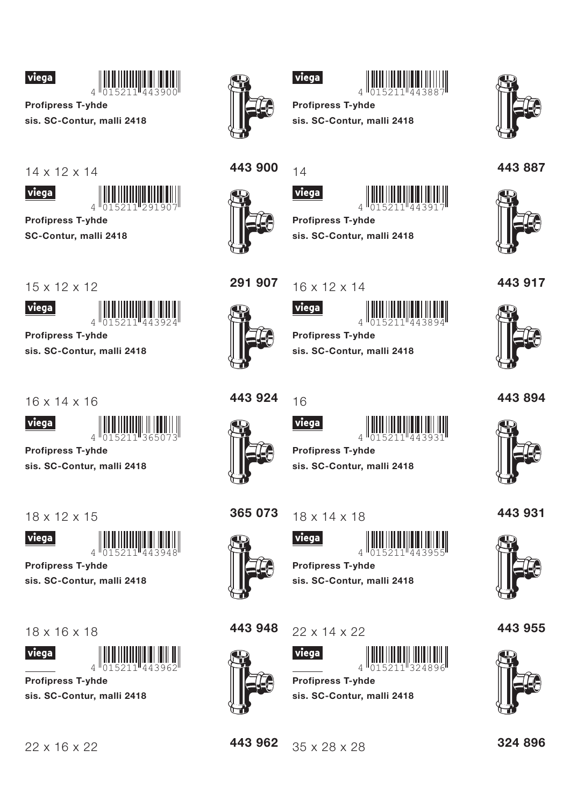



**Profipress T-yhde** sis. SC-Contur, malli 2418



viega

**Profipress T-yhde** SC-Contur, malli 2418

 $15 \times 12 \times 12$ 



**Profipress T-yhde** 

sis. SC-Contur, malli 2418

 $16 \times 14 \times 16$ 



**Profipress T-vhde** 

sis. SC-Contur, malli 2418

 $18 \times 12 \times 15$ 

viega



**Profipress T-vhde** 

sis. SC-Contur, malli 2418

 $18 \times 16 \times 18$ 





**Profipress T-yhde** sis. SC-Contur, malli 2418





## viega



**Profipress T-yhde** sis. SC-Contur, malli 2418







291 907

 $14$ **viega** 





**Profipress T-yhde** sis. SC-Contur, malli 2418

## $16 \times 12 \times 14$



viega



**Profipress T-yhde** sis. SC-Contur, malli 2418





*viega* 







**Profipress T-yhde** sis. SC-Contur, malli 2418

365 073  $18 \times 14 \times 18$ 





**Profipress T-vhde** sis. SC-Contur, malli 2418

443 948



443 962

 $22 \times 14 \times 22$ 

35 x 28 x 28



**Profipress T-yhde** sis. SC-Contur, malli 2418



443887



443 917



443894



443 931



443 955